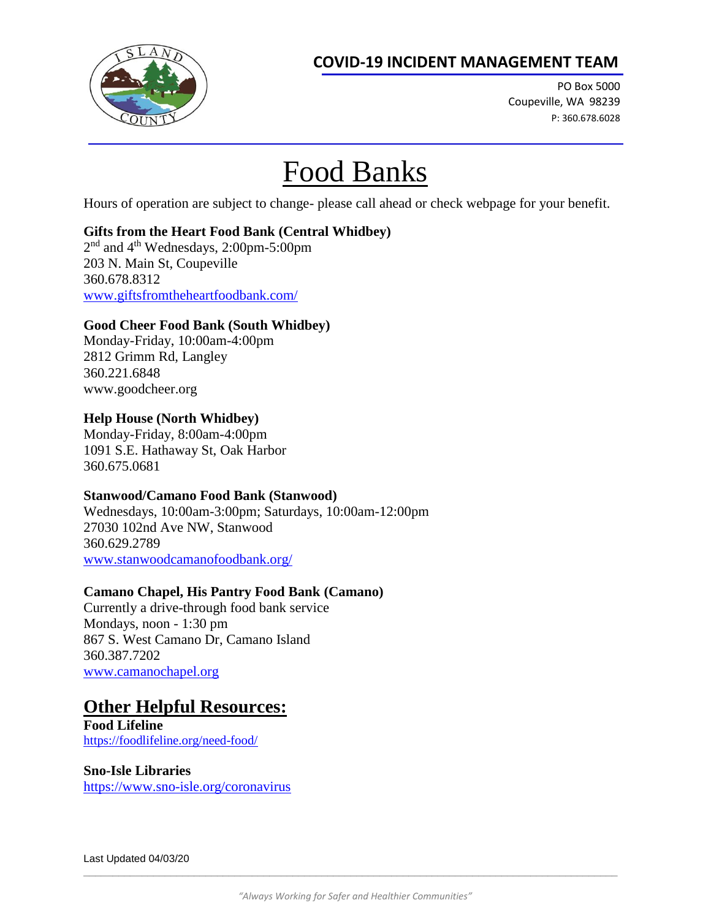# **COVID-19 INCIDENT MANAGEMENT TEAM**



PO Box 5000 Coupeville, WA 98239 P: 360.678.6028

# Food Banks

Hours of operation are subject to change- please call ahead or check webpage for your benefit.

## **Gifts from the Heart Food Bank (Central Whidbey)**

2<sup>nd</sup> and 4<sup>th</sup> Wednesdays, 2:00pm-5:00pm 203 N. Main St, Coupeville 360.678.8312 [www.giftsfromtheheartfoodbank.com/](http://www.giftsfromtheheartfoodbank.com/)

### **Good Cheer Food Bank (South Whidbey)**

Monday-Friday, 10:00am-4:00pm 2812 Grimm Rd, Langley 360.221.6848 www.goodcheer.org

## **Help House (North Whidbey)**

Monday-Friday, 8:00am-4:00pm 1091 S.E. Hathaway St, Oak Harbor 360.675.0681

## **Stanwood/Camano Food Bank (Stanwood)**

Wednesdays, 10:00am-3:00pm; Saturdays, 10:00am-12:00pm 27030 102nd Ave NW, Stanwood 360.629.2789 [www.stanwoodcamanofoodbank.org/](http://www.stanwoodcamanofoodbank.org/)

## **Camano Chapel, His Pantry Food Bank (Camano)**

Currently a drive-through food bank service Mondays, noon - 1:30 pm 867 S. West Camano Dr, Camano Island 360.387.7202 [www.camanochapel.org](http://www.camanochapel.org/)

# **Other Helpful Resources:**

**Food Lifeline** <https://foodlifeline.org/need-food/>

#### **Sno-Isle Libraries**

<https://www.sno-isle.org/coronavirus>

 $\Box$  . The contribution of the contribution of the contribution of the contribution of the contribution of the contribution of the contribution of the contribution of the contribution of the contribution of the contributi